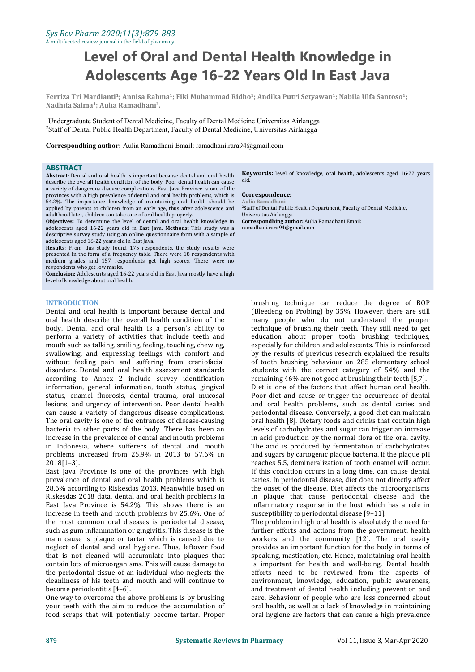# **Level of Oral and Dental Health Knowledge in Adolescents Age 16-22 Years Old In East Java**

Ferriza Tri Mardianti<sup>1</sup>; Annisa Rahma<sup>1</sup>; Fiki Muhammad Ridho<sup>1</sup>; Andika Putri Setyawan<sup>1</sup>; Nabila Ulfa Santoso<sup>1</sup>; **; Nadhifa Salma 1 ; Aulia Ramadhani<sup>2</sup> .**

<sup>1</sup>Undergraduate Student of Dental Medicine, Faculty of Dental Medicine Universitas Airlangga <sup>2</sup>Staff of Dental Public Health Department, Faculty of Dental Medicine, Universitas Airlangga

**Correspondhing author:** Aulia Ramadhani Email: ramadhani.rara94@gmail.com

#### **ABSTRACT**

**Abstract:** Dental and oral health is important because dental and oral health describe the overall health condition of the body. Poor dental health can cause a variety of dangerous disease complications. East Java Province is one of the provinces with a high prevalence of dental and oral health problems, which is **Corresponden**<br>54.2% The importance knowledge of maintaining oral health should be Aulia Ramadhan 54.2%. The importance knowledge of maintaining oral health should be applied by parents to children from an early age, thus after adolescence and <sup>2</sup>Staff of Dental Public adulthood later, children can take care of oral health properly. Universitas Airlangga

**Objectives**: To determine the level of dental and oral health knowledge in adolescents aged 16-22 years old in East Java. **Methods**: This study was a descriptive survey study using an online questionnaire form with a sample of adolescents aged 16-22 years old in East Java.

Results: From this study found 175 respondents, the study results were presented in the form of a frequency table. There were 18 respondents with medium grades and 157 respondents get high scores. There were no

**Conclusion**: Adolescents aged 16-22 years old in East Java mostly have a high level of knowledge about oral health.

### **INTRODUCTION**

Dental and oral health is important because dental and oral health describe the overall health condition of the body. Dental and oral health is a person's ability to perform a variety of activities that include teeth and mouth such as talking, smiling, feeling, touching, chewing, swallowing, and expressing feelings with comfort and without feeling pain and suffering from craniofacial disorders. Dental and oral health assessment standards according to Annex 2 include survey identification information, general information, tooth status, gingival status, enamel fluorosis, dental trauma, oral mucosal lesions, and urgency of intervention. Poor dental health can cause a variety of dangerous disease complications. The oral cavity is one of the entrances of disease-causing bacteria to other parts of the body. There has been an increase in the prevalence of dental and mouth problems in Indonesia, where sufferers of dental and mouth problems increased from 25.9% in 2013 to 57.6% in 2018[1–3].

East Java Province is one of the provinces with high prevalence of dental and oral health problems which is 28.6% according to Riskesdas 2013.Meanwhile based on Riskesdas 2018 data, dental and oral health problems in East Java Province is 54.2%. This shows there is an increase in teeth and mouth problems by 25.6%. One of the most common oral diseases is periodontal disease, such as gum inflammation or gingivitis. This disease is the main cause is plaque or tartar which is caused due to neglect of dental and oral hygiene. Thus, leftover food that is not cleaned will accumulate into plaques that contain lots of microorganisms. This will cause damage to the periodontal tissue of an individual who neglects the cleanliness of his teeth and mouth and will continue to become periodontitis [4–6].

One way to overcome the above problems is by brushing your teeth with the aim to reduce the accumulation of food scraps that will potentially become tartar. Proper **Keywords:** level of knowledge, oral health, adolescents aged 16-22 years old.

#### $Correspondence:$

<sup>2</sup>Staff of Dental Public Health Department, Faculty of Dental Medicine, **Correspondhing author:** Aulia Ramadhani Email: ramadhani.rara94@gmail.com

brushing technique can reduce the degree of BOP (Bleedeng on Probing) by 35%. However, there are still many people who do not understand the proper technique of brushing their teeth. They still need to get education about proper tooth brushing techniques, especially for children and adolescents. This is reinforced by the results of previous research explained the results of tooth brushing behaviour on 285 elementary school students with the correct category of 54% and the remaining 46% are not good at brushing their teeth [5,7]. Diet is one of the factors that affect human oral health. Poor diet and cause or trigger the occurrence of dental and oral health problems, such as dental caries and periodontal disease. Conversely, a good diet can maintain oral health [8]. Dietary foods and drinks that contain high levels of carbohydrates and sugar can trigger an increase in acid production by the normal flora of the oral cavity. The acid is produced by fermentation of carbohydrates and sugars by cariogenic plaque bacteria. If the plaque pH reaches 5.5, demineralization of tooth enamel will occur. If this condition occurs in a long time, can cause dental caries. In periodontal disease, diet does not directly affect the onset of the disease. Diet affects the microorganisms in plaque that cause periodontal disease and the inflammatory response in the host which has a role in susceptibility to periodontal disease [9–11].

The problem in high oral health is absolutely the need for further efforts and actions from the government, health workers and the community [12]. The oral cavity provides an important function for the body in terms of speaking, mastication, etc. Hence, maintaining oral health is important for health and well-being. Dental health efforts need to be reviewed from the aspects of environment, knowledge, education, public awareness, and treatment of dental health including prevention and care. Behaviour of people who are less concerned about oral health, as well as a lack of knowledge in maintaining oral hygiene are factors that can cause a high prevalence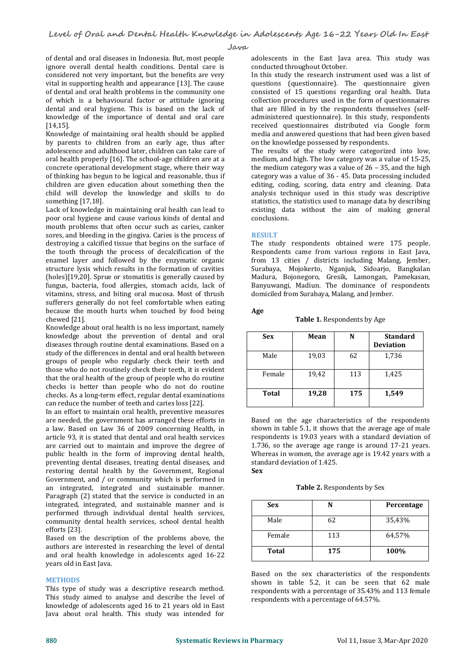**Java**

of dental and oral diseases in Indonesia. But, most people ignore overall dental health conditions. Dental care is considered not very important, but the benefits are very vital in supporting health and appearance [13]. The cause of dental and oral health problems in the community one of which is a behavioural factor or attitude ignoring dental and oral hygiene. This is based on the lack of knowledge of the importance of dental and oral care [14,15].

Knowledge of maintaining oral health should be applied by parents to children from an early age, thus after adolescence and adulthood later, children can take care of oral health properly [16]. The school-age children are at a concrete operational development stage, where their way of thinking has begun to be logical and reasonable, thus if children are given education about something then the child will develop the knowledge and skills to do something [17,18].

Lack of knowledge in maintaining oral health can lead to poor oral hygiene and cause various kinds of dental and mouth problems that often occur such as caries, canker sores, and bleeding in the gingiva. Caries is the process of destroying a calcified tissue that begins on the surface of The study respondents obtained were 175 people.<br>
the tooth through the process of decalcification of the Respondents came from various regions in East Java, the tooth through the process of decalcification of the enamel layer and followed by the enzymatic organic structure lysis which results in the formation of cavities (holes)[19,20]. Sprue or stomatitis is generally caused by fungus, bacteria, food allergies, stomach acids, lack of vitamins, stress, and biting oral mucosa. Most of thrush sufferers generally do not feel comfortable when eating because the mouth hurts when touched by food being chewed [21].

Knowledge about oral health is no lessimportant, namely knowledge about the prevention of dental and oral diseases through routine dental examinations. Based on a study of the differences in dental and oral health between groups of people who regularly check their teeth and those who do not routinely check their teeth, it is evident that the oral health of the group of people who do routine checks is better than people who do not do routine checks. As a long-term effect, regular dental examinations can reduce the number of teeth and caries loss [22].

In an effort to maintain oral health, preventive measures are needed, the government has arranged these efforts in a law. Based on Law 36 of 2009 concerning Health, in article 93, it is stated that dental and oral health services are carried out to maintain and improve the degree of public health in the form of improving dental health, preventing dental diseases, treating dental diseases, and star<br>restoring dental health by the Government Regional Sex restoring dental health by the Government, Regional Government, and / or community which is performed in an integrated, integrated and sustainable manner. Paragraph (2) stated that the service is conducted in an integrated, integrated, and sustainable manner and is performed through individual dental health services, community dental health services, school dental health efforts [23].

Based on the description of the problems above, the authors are interested in researching the level of dental and oral health knowledge in adolescents aged 16-22 years old in East Java.

## **METHODS**

This type of study was a descriptive research method. This study aimed to analyse and describe the level of knowledge of adolescents aged 16 to 21 years old in East Java about oral health. This study was intended for

adolescents in the East Java area. This study was conducted throughout October.

In this study the research instrument used was a list of questions (questionnaire). The questionnaire given consisted of 15 questions regarding oral health. Data collection procedures used in the form of questionnaires that are filled in by the respondents themselves (self administered questionnaire). In this study, respondents received questionnaires distributed via Google form media and answered questions that had been given based on the knowledge possessed by respondents.

The results of the study were categorized into low, medium, and high. The low category was a value of 15-25, the medium category was a value of 26 – 35, and the high category was a value of 36 - 45. Data processing included editing, coding, scoring, data entry and cleaning. Data analysis technique used in this study was descriptive statistics, the statistics used to manage data by describing existing data without the aim of making general conclusions.

## **RESULT**

The study respondents obtained were 175 people. from 13 cities / districts including Malang, Jember, Surabaya, Mojokerto, Nganjuk, Sidoarjo, Bangkalan Madura, Bojonegoro, Gresik, Lamongan, Pamekasan, Banyuwangi, Madiun. The dominance of respondents domiciled from Surabaya, Malang, and Jember.

**Age**

**Table 1.** Respondents by Age

| <b>Sex</b>   | Mean  | N   | <b>Standard</b><br><b>Deviation</b> |
|--------------|-------|-----|-------------------------------------|
| Male         | 19,03 | 62  | 1,736                               |
| Female       | 19,42 | 113 | 1,425                               |
| <b>Total</b> | 19,28 | 175 | 1,549                               |

Based on the age characteristics of the respondents shown in table 5.1, it shows that the average age of male respondents is 19.03 years with a standard deviation of 1.736, so the average age range is around  $17-21$  years. Whereas in women, the average age is 19.42 years with a standard deviation of 1.425.

**Table 2.** Respondents by Sex

| <b>Sex</b>   | N   | Percentage |
|--------------|-----|------------|
| Male         | 62  | 35,43%     |
| Female       | 113 | 64,57%     |
| <b>Total</b> | 175 | 100%       |

Based on the sex characteristics of the respondents shown in table 5.2, it can be seen that 62 male respondents with a percentage of 35.43% and 113 female respondents with a percentage of 64.57%.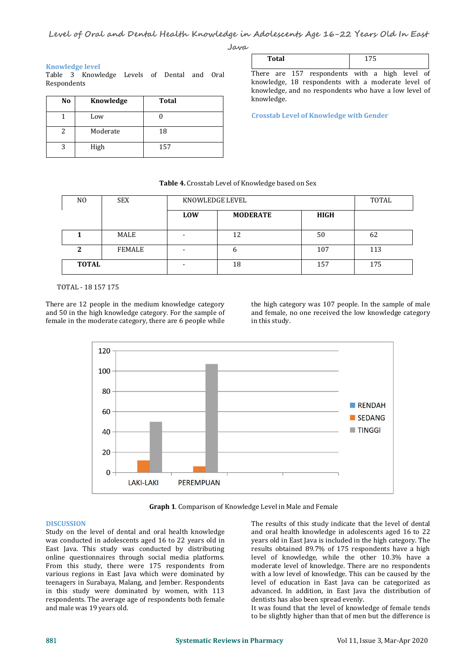**Java**

knowledge.

### **Knowledge level**

Table 3 Knowledge Levels of Dental and Oral Respondents

| No | Knowledge | <b>Total</b> |
|----|-----------|--------------|
|    | Low       |              |
|    | Moderate  | 18           |
| 2  | High      | 157          |

| Total                                                                                                                                                         | 175 |  |
|---------------------------------------------------------------------------------------------------------------------------------------------------------------|-----|--|
| There are 157 respondents with a high level of<br>knowledge, 18 respondents with a moderate level of<br>knowledge, and no respondents who have a low level of |     |  |

**Crosstab Level of Knowledge with Gender**

#### **Table 4.** Crosstab Level of Knowledge based on Sex

| N <sub>0</sub> | <b>SEX</b> | KNOWLEDGE LEVEL |                 |      | TOTAL |
|----------------|------------|-----------------|-----------------|------|-------|
|                |            | <b>LOW</b>      | <b>MODERATE</b> | HIGH |       |
|                | MALE       |                 | 12              | 50   | 62    |
|                | FEMALE     |                 | 6               | 107  | 113   |
| <b>TOTAL</b>   |            |                 | 18              | 157  | 175   |

TOTAL - 18 157 175

There are 12 people in the medium knowledge category and 50 in the high knowledge category. For the sample of female in the moderate category, there are 6 people while

the high category was 107 people. In the sample of male and female, no one received the low knowledge category in this study.



**Graph 1**. Comparison of Knowledge Level in Male and Female

#### **DISCUSSION**

Study on the level of dental and oral health knowledge was conducted in adolescents aged 16 to 22 years old in East Java. This study was conducted by distributing online questionnaires through social media platforms. From this study, there were 175 respondents from various regions in East Java which were dominated by teenagers in Surabaya, Malang, and Jember. Respondents in this study were dominated by women, with 113 respondents. The average age of respondents both female and male was 19 years old.

The results of this study indicate that the level of dental and oral health knowledge in adolescents aged 16 to 22 years old in East Java is included in the high category. The results obtained 89.7% of 175 respondents have a high level of knowledge, while the other 10.3% have a moderate level of knowledge. There are no respondents with a low level of knowledge. This can be caused by the level of education in East Java can be categorized as advanced. In addition, in East Java the distribution of dentists has also been spread evenly.

It was found that the level of knowledge of female tends to be slightly higher than that of men but the difference is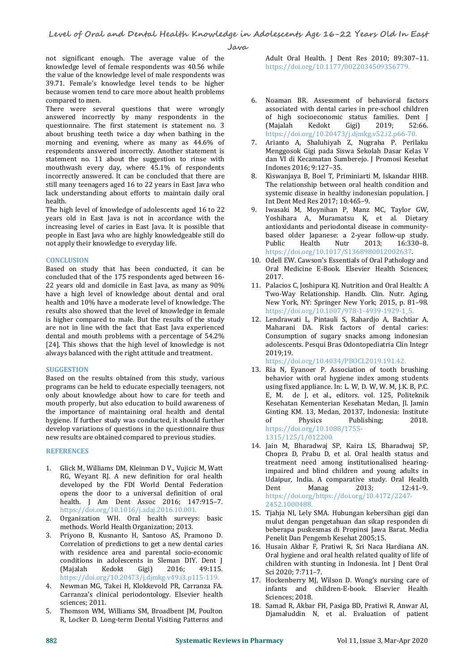**Level of Oral and Dental Health Knowledge in Adolescents Age 16-22 Years Old In East**

**Java**

not significant enough. The average value of the knowledge level of female respondents was 40.56 while the value of the knowledge level of male respondents was 39.71. Female's knowledge level tends to be higher because women tend to care more about health problems compared to men.

There were several questions that were wrongly answered incorrectly by many respondents in the of high questionnaire. The first statement is statement no. 3 (Majalah questionnaire. The first statement is statement no. 3 about brushing teeth twice a day when bathing in the morning and evening, where as many as 44.6% of 7. morning and evening, where as many as 44.6% of respondents answered incorrectly. Another statement is statement no. 11 about the suggestion to rinse with mouthwash every day, where 45.1% of respondents<br>incorrectly answered It can be concluded that there are incorrectly answered. It can be concluded that there are still many teenagers aged 16 to 22 years in East Java who lack understanding about efforts to maintain daily oral health.

The high level of knowledge of adolescents aged 16 to 22 years old in East Java is not in accordance with the increasing level of caries in East Java. It is possible that people in East Java who are highly knowledgeable still do based<br>not apply their knowledge to everyday life. The still do soluplic not apply their knowledge to everyday life.

## **CONCLUSION**

Based on study that has been conducted, it can be concluded that of the 175 respondents aged between 16- 22 years old and domicile in East Java, as many as 90% have a high level of knowledge about dental and oral health and 10% have a moderate level of knowledge. The results also showed that the level of knowledge in female is higher compared to male. But the results of the study are not in line with the fact that East Java experienced dental and mouth problems with a percentage of 54.2% [24]. This shows that the high level of knowledge is not always balanced with the right attitude and treatment.

## **SUGGESTION**

Based on the results obtained from this study, various programs can be held to educate especially teenagers, not only about knowledge about how to care for teeth and mouth properly, but also education to build awareness of the importance of maintaining oral health and dental Given and the Given of the study was conducted it should further of  $\frac{1}{2}$  of hygiene. If further study was conducted, it should further develop variations of questions in the questionnaire thus new results are obtained compared to previous studies.

## **REFERENCES**

- 1. Glick M, Williams DM, Kleinman D V., Vujicic M, Watt RG, Weyant RJ. A new definition for oral health developed by the FDI World Dental Federation opens the door to a universal definition of oral health. J Am Dent Assoc 2016; 147:915–7. https://doi.org/10.1016/j.adaj.2016.10.001.
- 2. Organization WH. Oral health surveys: basic methods. World Health Organization; 2013.
- 3. Priyono B, Kusnanto H, Santoso AS, Pramono D. Correlation of predictions to get a new dental caries conditions in adolescents in Sleman DIY. Dent J<br>(Majalah Kedokt Gigi) 2016; 49:115. (Majalah Kedokt Gigi) 2016; 49:115. https://doi.org/10.20473/j.djmkg.v49.i3.p115-119.
- 4. Newman MG, Takei H, Klokkevold PR, Carranza FA. Carranza's clinical periodontology. Elsevier health sciences; 2011.
- 5. Thomson WM, Williams SM, Broadbent JM, Poulton R, Locker D. Long-term Dental Visiting Patterns and

Adult Oral Health. J Dent Res 2010; 89:307–11. https://doi.org/10.1177/0022034509356779.

- 6. Noaman BR. Assessment of behavioral factors associated with dental caries in pre-school children of high socioeconomic status families. Dent J<br>(Majalah Kedokt Gigi) 2019; 52:66. (Majalah Kedokt Gigi) 2019; 52:66. https://doi.org/10.20473/j.djmkg.v52.i2.p66-70.
- 7. Arianto A, Shaluhiyah Z, Nugraha P. Perilaku Menggosok Gigi pada Siswa Sekolah Dasar Kelas V dan VI di Kecamatan Sumberejo. J Promosi Kesehat Indones 2016; 9:127–35.
- Kiswanjaya B, Boel T, Priminiarti M, Iskandar HHB. The relationship between oral health condition and systemic disease in healthy indonesian population. J Int Dent Med Res 2017; 10:465–9.
- Iwasaki M, Moynihan P, Manz MC, Taylor GW, Yoshihara A, Muramatsu K, et al. Dietary antioxidants and periodontal disease in communitybased older Japanese: a 2-year follow-up study. Public Health Nutr 2013; 16:330–8. https://doi.org/10.1017/S1368980012002637.
- 10. Odell EW. Cawson's Essentials of Oral Pathology and Oral Medicine E-Book. Elsevier Health Sciences; 2017.
- 11. Palacios C, Joshipura KJ. Nutrition and Oral Health: A Two-Way Relationship. Handb. Clin. Nutr. Aging, New York, NY: Springer New York; 2015, p. 81–98. https://doi.org/10.1007/978-1-4939-1929-1\_5.
- 12. Lendrawati L, Pintauli S, Rahardjo A, Bachtiar A, Maharani DA. Risk factors of dental caries: Consumption of sugary snacks among indonesian adolescents. Pesqui Bras Odontopediatria Clin Integr 2019;19.

https://doi.org/10.4034/PBOCI.2019.191.42.

- 13. Ria N, Eyanoer P. Association of tooth brushing behavior with oral hygiene index among students using fixed appliance. In: L. W, D. W, W. M, J.K. B, P.C. E, M. de J, et al., editors. vol. 125, Politeknik Kesehatan Kementerian Kesehatan Medan, Jl. Jamin Ginting KM. 13, Medan, 20137, Indonesia: Institute<br>of Physics Publishing; 2018. Publishing; https://doi.org/10.1088/1755- 1315/125/1/012200.
- 14. Jain M, Bharadwaj SP, Kaira LS, Bharadwaj SP, Chopra D, Prabu D, et al. Oral health status and treatment need among institutionalised hearingimpaired and blind children and young adults in Udaipur, India. A comparative study. Oral Health Dent Manag 2013; 12:41–9. https://doi.org/https://doi.org/10.4172/2247- 2452.1000488.
- 15. Tjahja NI, Lely SMA. Hubungan kebersihan gigi dan mulut dengan pengetahuan dan sikap responden di beberapa puskesmas di Propinsi Jawa Barat. Media Penelit Dan Pengemb Kesehat 2005;15.
- with residence area and parental socio-economic<br>Oral hygiene and oral health related quality of life of 16. Husain Akbar F, Pratiwi R, Sri Naca Hardiana AN. children with stunting in Indonesia. Int J Dent Oral Sci 2020; 7:711–7.
	- 17. Hockenberry MJ, Wilson D. Wong's nursing care of infants and children-E-book. Elsevier Health Sciences; 2018.
	- 18. Samad R, Akbar FH, Pasiga BD, Pratiwi R, Anwar AI, Djamaluddin N, et al. Evaluation of patient